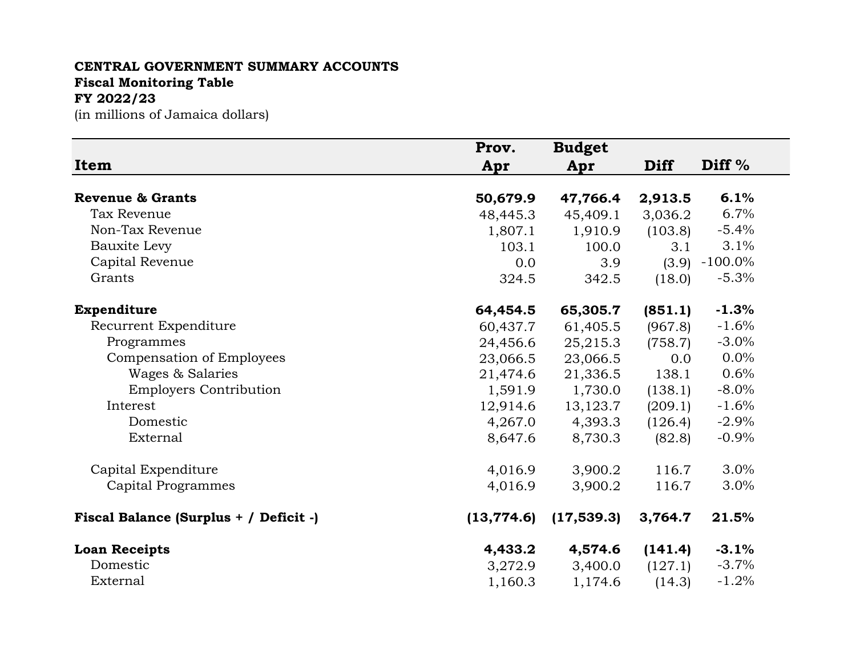## **CENTRAL GOVERNMENT SUMMARY ACCOUNTS Fiscal Monitoring Table FY 2022/23**

(in millions of Jamaica dollars)

|                                        | Prov.       | <b>Budget</b> |             |            |
|----------------------------------------|-------------|---------------|-------------|------------|
| Item                                   | Apr         | Apr           | <b>Diff</b> | Diff %     |
| <b>Revenue &amp; Grants</b>            | 50,679.9    | 47,766.4      | 2,913.5     | 6.1%       |
| Tax Revenue                            | 48,445.3    | 45,409.1      | 3,036.2     | 6.7%       |
| Non-Tax Revenue                        | 1,807.1     | 1,910.9       | (103.8)     | $-5.4%$    |
| Bauxite Levy                           | 103.1       | 100.0         | 3.1         | 3.1%       |
| Capital Revenue                        | 0.0         | 3.9           | (3.9)       | $-100.0\%$ |
| Grants                                 | 324.5       | 342.5         | (18.0)      | $-5.3%$    |
| <b>Expenditure</b>                     | 64,454.5    | 65,305.7      | (851.1)     | $-1.3%$    |
| Recurrent Expenditure                  | 60,437.7    | 61,405.5      | (967.8)     | $-1.6%$    |
| Programmes                             | 24,456.6    | 25,215.3      | (758.7)     | $-3.0%$    |
| Compensation of Employees              | 23,066.5    | 23,066.5      | 0.0         | 0.0%       |
| Wages & Salaries                       | 21,474.6    | 21,336.5      | 138.1       | 0.6%       |
| <b>Employers Contribution</b>          | 1,591.9     | 1,730.0       | (138.1)     | $-8.0\%$   |
| Interest                               | 12,914.6    | 13,123.7      | (209.1)     | $-1.6%$    |
| Domestic                               | 4,267.0     | 4,393.3       | (126.4)     | $-2.9%$    |
| External                               | 8,647.6     | 8,730.3       | (82.8)      | $-0.9%$    |
| Capital Expenditure                    | 4,016.9     | 3,900.2       | 116.7       | 3.0%       |
| Capital Programmes                     | 4,016.9     | 3,900.2       | 116.7       | 3.0%       |
| Fiscal Balance (Surplus + / Deficit -) | (13, 774.6) | (17, 539.3)   | 3,764.7     | 21.5%      |
| <b>Loan Receipts</b>                   | 4,433.2     | 4,574.6       | (141.4)     | $-3.1%$    |
| Domestic                               | 3,272.9     | 3,400.0       | (127.1)     | $-3.7%$    |
| External                               | 1,160.3     | 1,174.6       | (14.3)      | $-1.2%$    |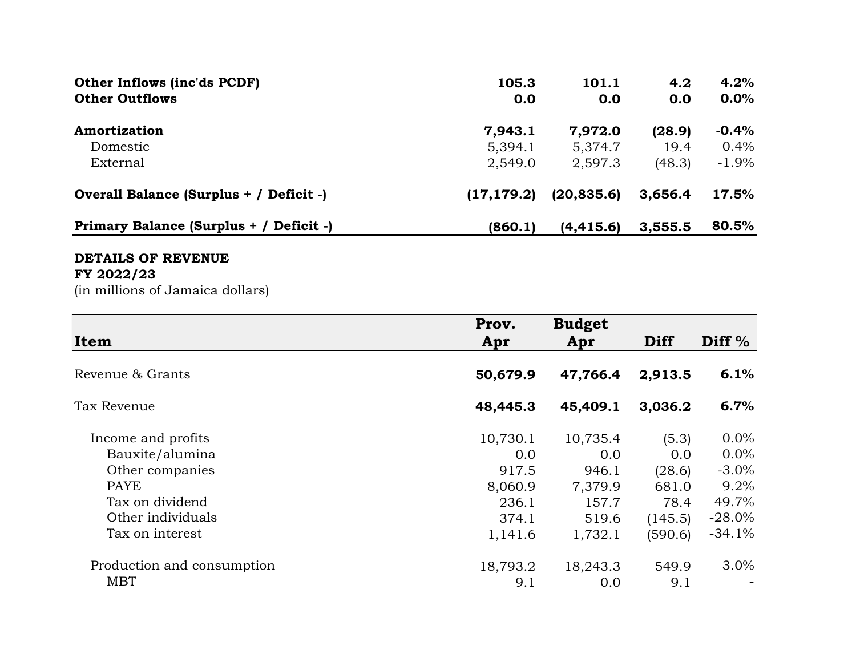| <b>Other Inflows (inc'ds PCDF)</b>      | 105.3       | 101.1       | 4.2     | 4.2%     |
|-----------------------------------------|-------------|-------------|---------|----------|
| <b>Other Outflows</b>                   | 0.0         | 0.0         | 0.0     | $0.0\%$  |
| Amortization                            | 7,943.1     | 7,972.0     | (28.9)  | $-0.4%$  |
| Domestic                                | 5,394.1     | 5,374.7     | 19.4    | $0.4\%$  |
| External                                | 2,549.0     | 2,597.3     | (48.3)  | $-1.9\%$ |
| Overall Balance (Surplus + / Deficit -) | (17, 179.2) | (20, 835.6) | 3,656.4 | 17.5%    |
| Primary Balance (Surplus + / Deficit -) | (860.1)     | (4, 415.6)  | 3,555.5 | 80.5%    |

## **DETAILS OF REVENUE**

## **FY 2022/23**

(in millions of Jamaica dollars)

| <b>Item</b>                | Prov.<br>Apr | <b>Budget</b><br>Apr | <b>Diff</b> | Diff $%$  |
|----------------------------|--------------|----------------------|-------------|-----------|
| Revenue & Grants           | 50,679.9     | 47,766.4             | 2,913.5     | 6.1%      |
| Tax Revenue                | 48,445.3     | 45,409.1             | 3,036.2     | 6.7%      |
| Income and profits         | 10,730.1     | 10,735.4             | (5.3)       | 0.0%      |
| Bauxite/alumina            | 0.0          | 0.0                  | 0.0         | $0.0\%$   |
| Other companies            | 917.5        | 946.1                | (28.6)      | $-3.0\%$  |
| <b>PAYE</b>                | 8,060.9      | 7,379.9              | 681.0       | 9.2%      |
| Tax on dividend            | 236.1        | 157.7                | 78.4        | 49.7%     |
| Other individuals          | 374.1        | 519.6                | (145.5)     | $-28.0\%$ |
| Tax on interest            | 1,141.6      | 1,732.1              | (590.6)     | $-34.1%$  |
| Production and consumption | 18,793.2     | 18,243.3             | 549.9       | 3.0%      |
| <b>MBT</b>                 | 9.1          | 0.0                  | 9.1         |           |